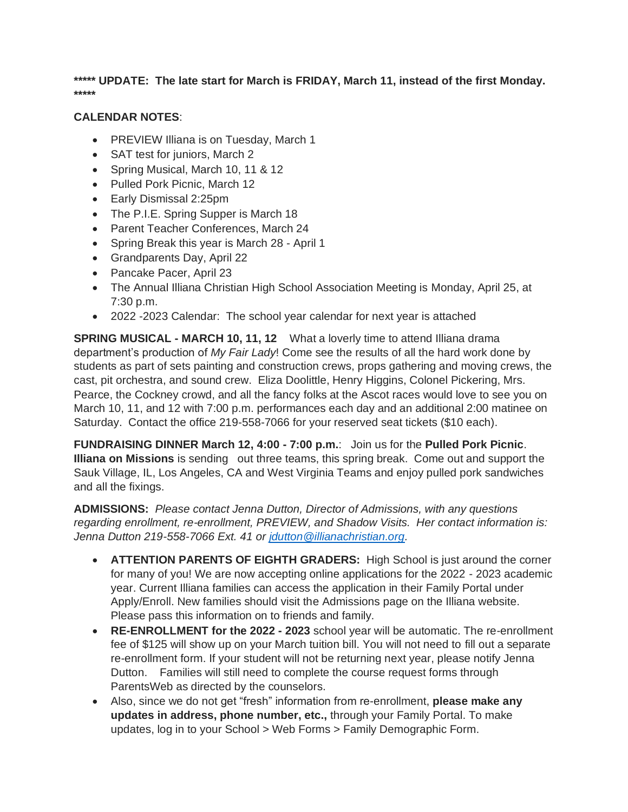**\*\*\*\*\* UPDATE: The late start for March is FRIDAY, March 11, instead of the first Monday. \*\*\*\*\***

## **CALENDAR NOTES**:

- PREVIEW Illiana is on Tuesday, March 1
- SAT test for juniors, March 2
- Spring Musical, March 10, 11 & 12
- Pulled Pork Picnic, March 12
- Early Dismissal 2:25pm
- The P.I.E. Spring Supper is March 18
- Parent Teacher Conferences, March 24
- Spring Break this year is March 28 April 1
- Grandparents Day, April 22
- Pancake Pacer, April 23
- The Annual Illiana Christian High School Association Meeting is Monday, April 25, at 7:30 p.m.
- 2022 -2023 Calendar: The school year calendar for next year is attached

**SPRING MUSICAL - MARCH 10, 11, 12** What a loverly time to attend Illiana drama department's production of *My Fair Lady*! Come see the results of all the hard work done by students as part of sets painting and construction crews, props gathering and moving crews, the cast, pit orchestra, and sound crew. Eliza Doolittle, Henry Higgins, Colonel Pickering, Mrs. Pearce, the Cockney crowd, and all the fancy folks at the Ascot races would love to see you on March 10, 11, and 12 with 7:00 p.m. performances each day and an additional 2:00 matinee on Saturday. Contact the office 219-558-7066 for your reserved seat tickets (\$10 each).

**FUNDRAISING DINNER March 12, 4:00 - 7:00 p.m.**: Join us for the **Pulled Pork Picnic**. **Illiana on Missions** is sending out three teams, this spring break. Come out and support the Sauk Village, IL, Los Angeles, CA and West Virginia Teams and enjoy pulled pork sandwiches and all the fixings.

**ADMISSIONS:** *Please contact Jenna Dutton, Director of Admissions, with any questions regarding enrollment, re-enrollment, PREVIEW, and Shadow Visits. Her contact information is: Jenna Dutton 219-558-7066 Ext. 41 or [jdutton@illianachristian.org.](mailto:jdutton@illianachristian.org)* 

- **ATTENTION PARENTS OF EIGHTH GRADERS:** High School is just around the corner for many of you! We are now accepting online applications for the 2022 - 2023 academic year. Current Illiana families can access the application in their Family Portal under Apply/Enroll. New families should visit the Admissions page on the Illiana website. Please pass this information on to friends and family.
- **RE-ENROLLMENT for the 2022 - 2023** school year will be automatic. The re-enrollment fee of \$125 will show up on your March tuition bill. You will not need to fill out a separate re-enrollment form. If your student will not be returning next year, please notify Jenna Dutton. Families will still need to complete the course request forms through ParentsWeb as directed by the counselors.
- Also, since we do not get "fresh" information from re-enrollment, **please make any updates in address, phone number, etc.,** through your Family Portal. To make updates, log in to your School > Web Forms > Family Demographic Form.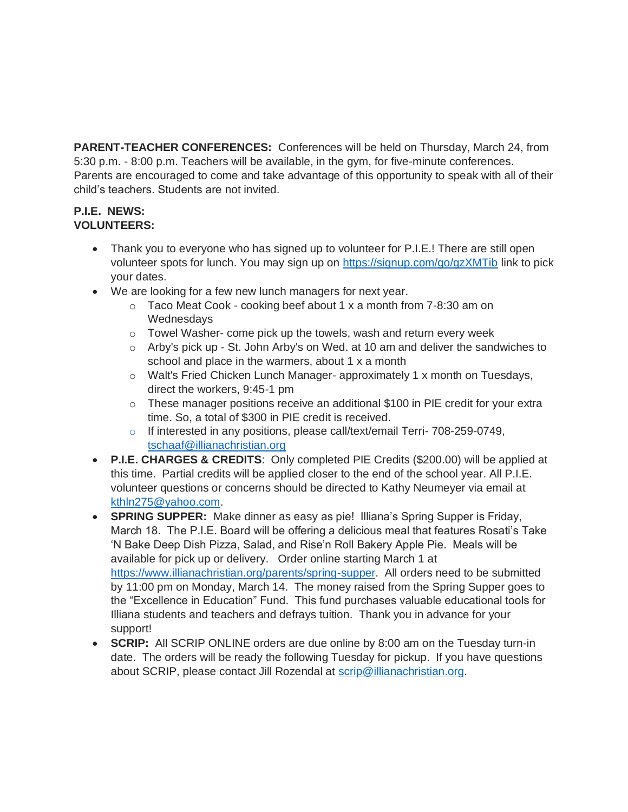**PARENT-TEACHER CONFERENCES:** Conferences will be held on Thursday, March 24, from 5:30 p.m. - 8:00 p.m. Teachers will be available, in the gym, for five-minute conferences. Parents are encouraged to come and take advantage of this opportunity to speak with all of their child's teachers. Students are not invited.

## **P.I.E. NEWS: VOLUNTEERS:**

- Thank you to everyone who has signed up to volunteer for P.I.E.! There are still open volunteer spots for lunch. You may sign up on<https://signup.com/go/gzXMTib> link to pick your dates.
- We are looking for a few new lunch managers for next year.
	- o Taco Meat Cook cooking beef about 1 x a month from 7-8:30 am on **Wednesdays**
	- o Towel Washer- come pick up the towels, wash and return every week
	- $\circ$  Arby's pick up St. John Arby's on Wed. at 10 am and deliver the sandwiches to school and place in the warmers, about 1 x a month
	- $\circ$  Walt's Fried Chicken Lunch Manager- approximately 1 x month on Tuesdays, direct the workers, 9:45-1 pm
	- $\circ$  These manager positions receive an additional \$100 in PIE credit for your extra time. So, a total of \$300 in PIE credit is received.
	- o If interested in any positions, please call/text/email Terri- 708-259-0749, [tschaaf@illianachristian.org](mailto:tschaaf@illianachristian.org)
- **P.I.E. CHARGES & CREDITS**: Only completed PIE Credits (\$200.00) will be applied at this time. Partial credits will be applied closer to the end of the school year. All P.I.E. volunteer questions or concerns should be directed to Kathy Neumeyer via email at [kthln275@yahoo.com.](mailto:kthln275@yahoo.com)
- **SPRING SUPPER:** Make dinner as easy as pie! Illiana's Spring Supper is Friday, March 18. The P.I.E. Board will be offering a delicious meal that features Rosati's Take 'N Bake Deep Dish Pizza, Salad, and Rise'n Roll Bakery Apple Pie. Meals will be available for pick up or delivery. Order online starting March 1 at [https://www.illianachristian.org/parents/spring-supper.](https://www.illianachristian.org/parents/spring-supper) All orders need to be submitted by 11:00 pm on Monday, March 14. The money raised from the Spring Supper goes to the "Excellence in Education" Fund. This fund purchases valuable educational tools for Illiana students and teachers and defrays tuition. Thank you in advance for your support!
- **SCRIP:** All SCRIP ONLINE orders are due online by 8:00 am on the Tuesday turn-in date. The orders will be ready the following Tuesday for pickup. If you have questions about SCRIP, please contact Jill Rozendal at [scrip@illianachristian.org.](mailto:scrip@illianachristian.org)